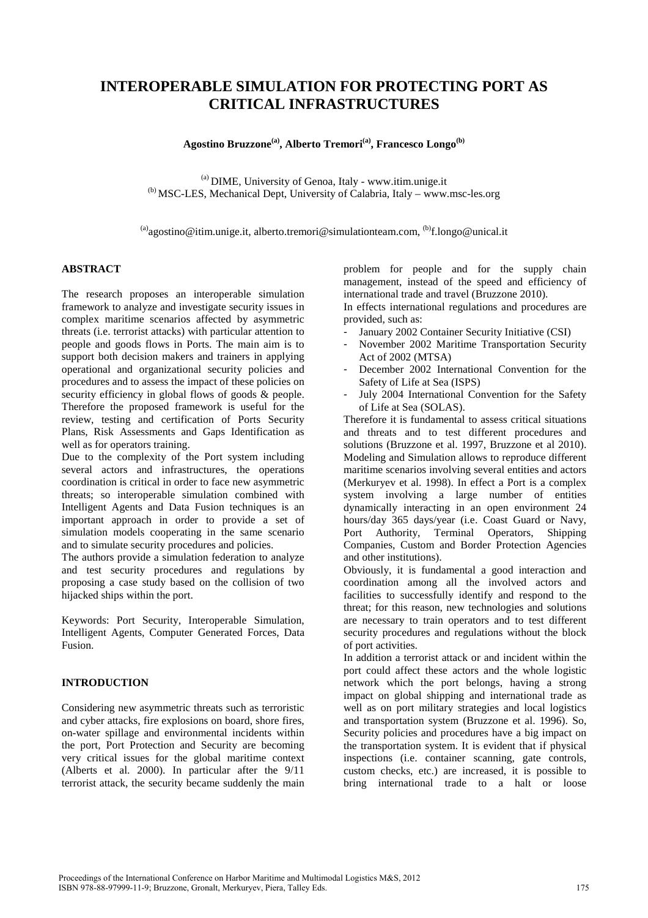# **INTEROPERABLE SIMULATION FOR PROTECTING PORT AS CRITICAL INFRASTRUCTURES**

**Agostino Bruzzone(a), Alberto Tremori(a), Francesco Longo(b)** 

 $<sup>(a)</sup>$  DIME, University of Genoa, Italy - www.itim.unige.it</sup> (b) MSC-LES, Mechanical Dept, University of Calabria, Italy – www.msc-les.org

 $^{(a)}$ agostino@itim.unige.it, alberto.tremori@simulationteam.com,  $^{(b)}$ f.longo@unical.it

## **ABSTRACT**

The research proposes an interoperable simulation framework to analyze and investigate security issues in complex maritime scenarios affected by asymmetric threats (i.e. terrorist attacks) with particular attention to people and goods flows in Ports. The main aim is to support both decision makers and trainers in applying operational and organizational security policies and procedures and to assess the impact of these policies on security efficiency in global flows of goods & people. Therefore the proposed framework is useful for the review, testing and certification of Ports Security Plans, Risk Assessments and Gaps Identification as well as for operators training.

Due to the complexity of the Port system including several actors and infrastructures, the operations coordination is critical in order to face new asymmetric threats; so interoperable simulation combined with Intelligent Agents and Data Fusion techniques is an important approach in order to provide a set of simulation models cooperating in the same scenario and to simulate security procedures and policies.

The authors provide a simulation federation to analyze and test security procedures and regulations by proposing a case study based on the collision of two hijacked ships within the port.

Keywords: Port Security, Interoperable Simulation, Intelligent Agents, Computer Generated Forces, Data Fusion.

### **INTRODUCTION**

Considering new asymmetric threats such as terroristic and cyber attacks, fire explosions on board, shore fires, on-water spillage and environmental incidents within the port, Port Protection and Security are becoming very critical issues for the global maritime context (Alberts et al. 2000). In particular after the 9/11 terrorist attack, the security became suddenly the main problem for people and for the supply chain management, instead of the speed and efficiency of international trade and travel (Bruzzone 2010).

In effects international regulations and procedures are provided, such as:

- January 2002 Container Security Initiative (CSI)
- November 2002 Maritime Transportation Security Act of 2002 (MTSA)
- December 2002 International Convention for the Safety of Life at Sea (ISPS)
- July 2004 International Convention for the Safety of Life at Sea (SOLAS).

Therefore it is fundamental to assess critical situations and threats and to test different procedures and solutions (Bruzzone et al. 1997, Bruzzone et al 2010). Modeling and Simulation allows to reproduce different maritime scenarios involving several entities and actors (Merkuryev et al. 1998). In effect a Port is a complex system involving a large number of entities dynamically interacting in an open environment 24 hours/day 365 days/year (i.e. Coast Guard or Navy, Port Authority, Terminal Operators, Shipping Companies, Custom and Border Protection Agencies and other institutions).

Obviously, it is fundamental a good interaction and coordination among all the involved actors and facilities to successfully identify and respond to the threat; for this reason, new technologies and solutions are necessary to train operators and to test different security procedures and regulations without the block of port activities.

In addition a terrorist attack or and incident within the port could affect these actors and the whole logistic network which the port belongs, having a strong impact on global shipping and international trade as well as on port military strategies and local logistics and transportation system (Bruzzone et al. 1996). So, Security policies and procedures have a big impact on the transportation system. It is evident that if physical inspections (i.e. container scanning, gate controls, custom checks, etc.) are increased, it is possible to bring international trade to a halt or loose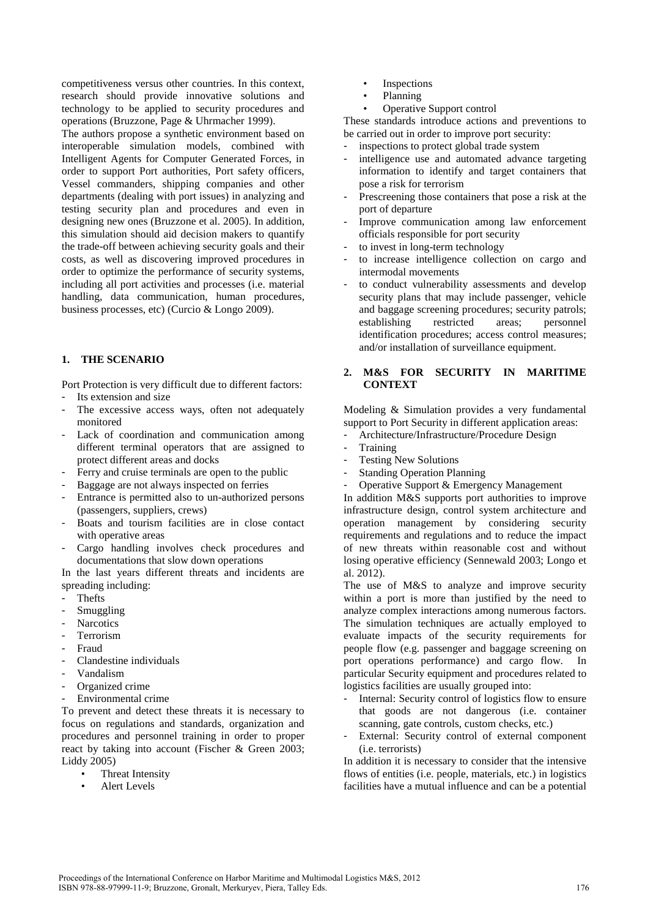competitiveness versus other countries. In this context, research should provide innovative solutions and technology to be applied to security procedures and operations (Bruzzone, Page & Uhrmacher 1999).

The authors propose a synthetic environment based on interoperable simulation models, combined with Intelligent Agents for Computer Generated Forces, in order to support Port authorities, Port safety officers, Vessel commanders, shipping companies and other departments (dealing with port issues) in analyzing and testing security plan and procedures and even in designing new ones (Bruzzone et al. 2005). In addition, this simulation should aid decision makers to quantify the trade-off between achieving security goals and their costs, as well as discovering improved procedures in order to optimize the performance of security systems, including all port activities and processes (i.e. material handling, data communication, human procedures, business processes, etc) (Curcio & Longo 2009).

## **1. THE SCENARIO**

Port Protection is very difficult due to different factors: Its extension and size

- The excessive access ways, often not adequately monitored
- Lack of coordination and communication among different terminal operators that are assigned to protect different areas and docks
- Ferry and cruise terminals are open to the public
- Baggage are not always inspected on ferries
- Entrance is permitted also to un-authorized persons (passengers, suppliers, crews)
- Boats and tourism facilities are in close contact with operative areas
- Cargo handling involves check procedures and documentations that slow down operations

In the last years different threats and incidents are spreading including:

- **Thefts**
- Smuggling
- **Narcotics**
- **Terrorism**
- Fraud
- Clandestine individuals
- Vandalism
- Organized crime
- Environmental crime

To prevent and detect these threats it is necessary to focus on regulations and standards, organization and procedures and personnel training in order to proper react by taking into account (Fischer & Green 2003; Liddy 2005)

- Threat Intensity
- Alert Levels
- **Inspections**
- Planning
- Operative Support control

These standards introduce actions and preventions to be carried out in order to improve port security:

- inspections to protect global trade system
- intelligence use and automated advance targeting information to identify and target containers that pose a risk for terrorism
- Prescreening those containers that pose a risk at the port of departure
- Improve communication among law enforcement officials responsible for port security
- to invest in long-term technology
- to increase intelligence collection on cargo and intermodal movements
- to conduct vulnerability assessments and develop security plans that may include passenger, vehicle and baggage screening procedures; security patrols; establishing restricted areas; personnel identification procedures; access control measures; and/or installation of surveillance equipment.

## **2. M&S FOR SECURITY IN MARITIME CONTEXT**

Modeling & Simulation provides a very fundamental support to Port Security in different application areas:

- Architecture/Infrastructure/Procedure Design
- **Training**
- Testing New Solutions
- Standing Operation Planning
- Operative Support & Emergency Management

In addition M&S supports port authorities to improve infrastructure design, control system architecture and operation management by considering security requirements and regulations and to reduce the impact of new threats within reasonable cost and without losing operative efficiency (Sennewald 2003; Longo et al. 2012).

The use of M&S to analyze and improve security within a port is more than justified by the need to analyze complex interactions among numerous factors. The simulation techniques are actually employed to evaluate impacts of the security requirements for people flow (e.g. passenger and baggage screening on port operations performance) and cargo flow. In particular Security equipment and procedures related to logistics facilities are usually grouped into:

- Internal: Security control of logistics flow to ensure that goods are not dangerous (i.e. container scanning, gate controls, custom checks, etc.)
- External: Security control of external component (i.e. terrorists)

In addition it is necessary to consider that the intensive flows of entities (i.e. people, materials, etc.) in logistics facilities have a mutual influence and can be a potential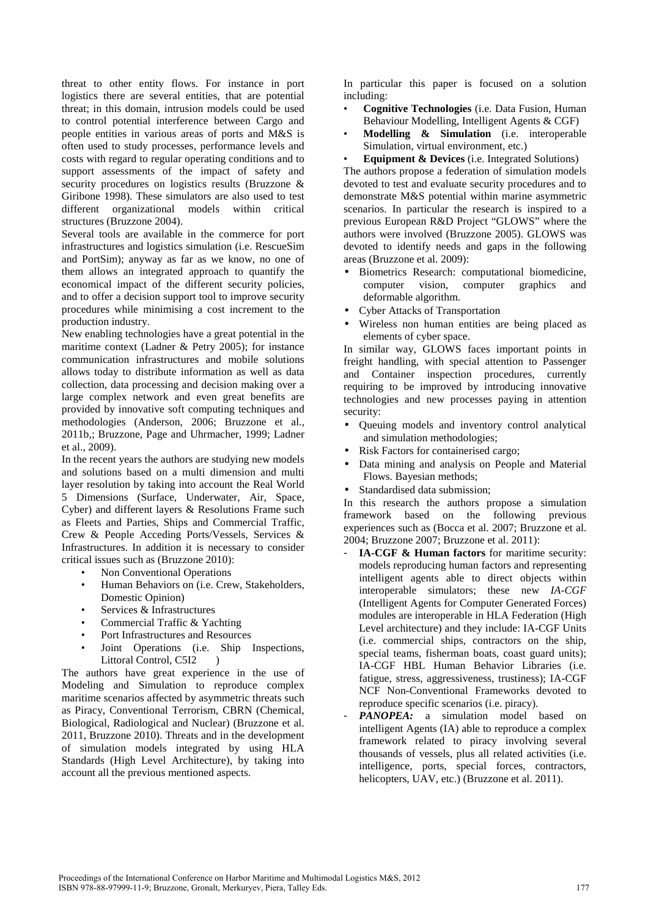threat to other entity flows. For instance in port logistics there are several entities, that are potential threat; in this domain, intrusion models could be used to control potential interference between Cargo and people entities in various areas of ports and M&S is often used to study processes, performance levels and costs with regard to regular operating conditions and to support assessments of the impact of safety and security procedures on logistics results (Bruzzone & Giribone 1998). These simulators are also used to test different organizational models within critical structures (Bruzzone 2004).

Several tools are available in the commerce for port infrastructures and logistics simulation (i.e. RescueSim and PortSim); anyway as far as we know, no one of them allows an integrated approach to quantify the economical impact of the different security policies, and to offer a decision support tool to improve security procedures while minimising a cost increment to the production industry.

New enabling technologies have a great potential in the maritime context (Ladner & Petry 2005); for instance communication infrastructures and mobile solutions allows today to distribute information as well as data collection, data processing and decision making over a large complex network and even great benefits are provided by innovative soft computing techniques and methodologies (Anderson, 2006; Bruzzone et al., 2011b,; Bruzzone, Page and Uhrmacher, 1999; Ladner et al., 2009).

In the recent years the authors are studying new models and solutions based on a multi dimension and multi layer resolution by taking into account the Real World 5 Dimensions (Surface, Underwater, Air, Space, Cyber) and different layers & Resolutions Frame such as Fleets and Parties, Ships and Commercial Traffic, Crew & People Acceding Ports/Vessels, Services & Infrastructures. In addition it is necessary to consider critical issues such as (Bruzzone 2010):

- Non Conventional Operations
- Human Behaviors on (i.e. Crew, Stakeholders, Domestic Opinion)
- Services & Infrastructures
- Commercial Traffic & Yachting
- Port Infrastructures and Resources
- Joint Operations (i.e. Ship Inspections, Littoral Control, C5I2 )

The authors have great experience in the use of Modeling and Simulation to reproduce complex maritime scenarios affected by asymmetric threats such as Piracy, Conventional Terrorism, CBRN (Chemical, Biological, Radiological and Nuclear) (Bruzzone et al. 2011, Bruzzone 2010). Threats and in the development of simulation models integrated by using HLA Standards (High Level Architecture), by taking into account all the previous mentioned aspects.

In particular this paper is focused on a solution including:

- **Cognitive Technologies** (i.e. Data Fusion, Human Behaviour Modelling, Intelligent Agents & CGF)
- **Modelling & Simulation** (i.e. interoperable Simulation, virtual environment, etc.)

**Equipment & Devices** (i.e. Integrated Solutions) The authors propose a federation of simulation models devoted to test and evaluate security procedures and to demonstrate M&S potential within marine asymmetric scenarios. In particular the research is inspired to a previous European R&D Project "GLOWS" where the authors were involved (Bruzzone 2005). GLOWS was devoted to identify needs and gaps in the following areas (Bruzzone et al. 2009):

- Biometrics Research: computational biomedicine, computer vision, computer graphics and deformable algorithm.
- Cyber Attacks of Transportation
- Wireless non human entities are being placed as elements of cyber space.

In similar way, GLOWS faces important points in freight handling, with special attention to Passenger and Container inspection procedures, currently requiring to be improved by introducing innovative technologies and new processes paying in attention security:

- Queuing models and inventory control analytical and simulation methodologies;
- Risk Factors for containerised cargo;
- Data mining and analysis on People and Material Flows. Bayesian methods;
- Standardised data submission:

In this research the authors propose a simulation framework based on the following previous experiences such as (Bocca et al. 2007; Bruzzone et al. 2004; Bruzzone 2007; Bruzzone et al. 2011):

- **IA-CGF & Human factors** for maritime security: models reproducing human factors and representing intelligent agents able to direct objects within interoperable simulators; these new *IA-CGF*  (Intelligent Agents for Computer Generated Forces) modules are interoperable in HLA Federation (High Level architecture) and they include: IA-CGF Units (i.e. commercial ships, contractors on the ship, special teams, fisherman boats, coast guard units); IA-CGF HBL Human Behavior Libraries (i.e. fatigue, stress, aggressiveness, trustiness); IA-CGF NCF Non-Conventional Frameworks devoted to reproduce specific scenarios (i.e. piracy).
- *PANOPEA:* a simulation model based on intelligent Agents (IA) able to reproduce a complex framework related to piracy involving several thousands of vessels, plus all related activities (i.e. intelligence, ports, special forces, contractors, helicopters, UAV, etc.) (Bruzzone et al. 2011).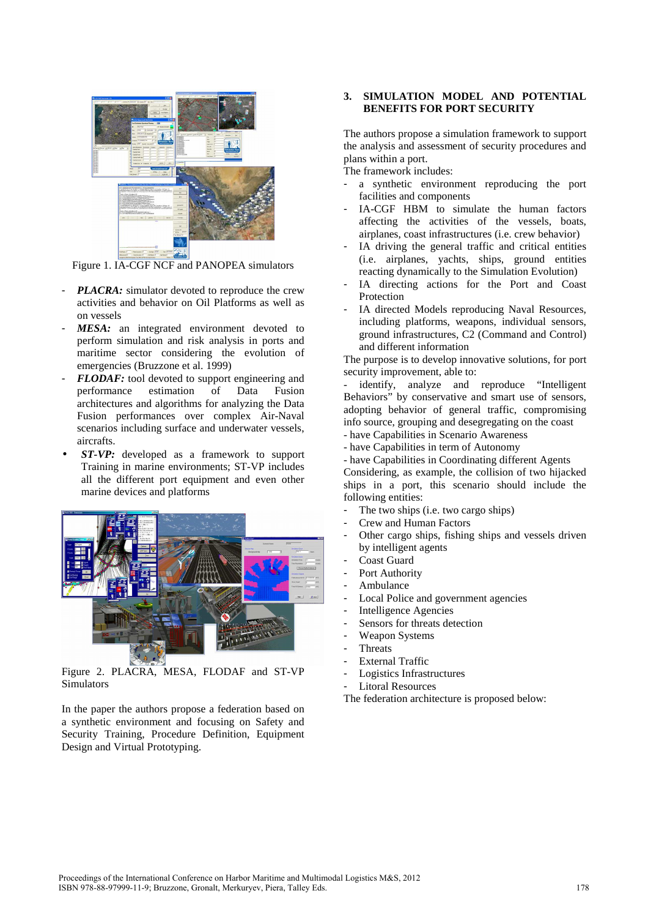

Figure 1. IA-CGF NCF and PANOPEA simulators

- *PLACRA:* simulator devoted to reproduce the crew activities and behavior on Oil Platforms as well as on vessels
- MESA: an integrated environment devoted to perform simulation and risk analysis in ports and maritime sector considering the evolution of emergencies (Bruzzone et al. 1999)
- *FLODAF:* tool devoted to support engineering and performance estimation of Data Fusion architectures and algorithms for analyzing the Data Fusion performances over complex Air-Naval scenarios including surface and underwater vessels, aircrafts.
- *ST-VP:* developed as a framework to support Training in marine environments; ST-VP includes all the different port equipment and even other marine devices and platforms



Figure 2. PLACRA, MESA, FLODAF and ST-VP Simulators

In the paper the authors propose a federation based on a synthetic environment and focusing on Safety and Security Training, Procedure Definition, Equipment Design and Virtual Prototyping.

## **3. SIMULATION MODEL AND POTENTIAL BENEFITS FOR PORT SECURITY**

The authors propose a simulation framework to support the analysis and assessment of security procedures and plans within a port.

The framework includes:

- a synthetic environment reproducing the port facilities and components
- IA-CGF HBM to simulate the human factors affecting the activities of the vessels, boats, airplanes, coast infrastructures (i.e. crew behavior)
- IA driving the general traffic and critical entities (i.e. airplanes, yachts, ships, ground entities reacting dynamically to the Simulation Evolution)
- IA directing actions for the Port and Coast Protection
- IA directed Models reproducing Naval Resources, including platforms, weapons, individual sensors, ground infrastructures, C2 (Command and Control) and different information

The purpose is to develop innovative solutions, for port security improvement, able to:

identify, analyze and reproduce "Intelligent Behaviors" by conservative and smart use of sensors, adopting behavior of general traffic, compromising info source, grouping and desegregating on the coast - have Capabilities in Scenario Awareness

- have Capabilities in term of Autonomy
- have Capabilities in Coordinating different Agents

Considering, as example, the collision of two hijacked ships in a port, this scenario should include the following entities:

- The two ships (i.e. two cargo ships)
- Crew and Human Factors
- Other cargo ships, fishing ships and vessels driven by intelligent agents
- Coast Guard
- Port Authority
- Ambulance
- Local Police and government agencies
- Intelligence Agencies
- Sensors for threats detection
- Weapon Systems
- **Threats**
- External Traffic
- Logistics Infrastructures
- Litoral Resources

The federation architecture is proposed below: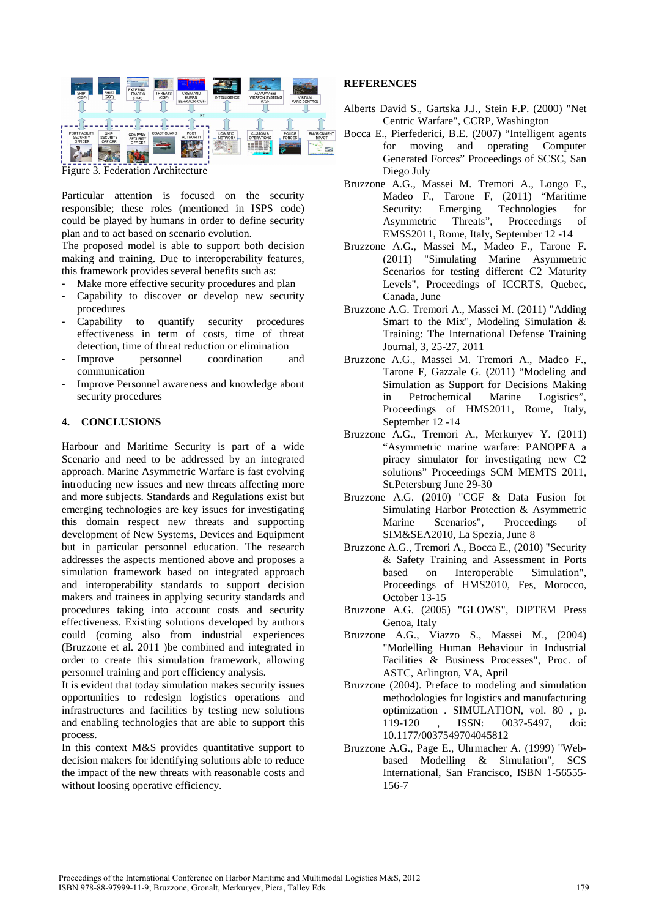

Figure 3. Federation Architecture

Particular attention is focused on the security responsible; these roles (mentioned in ISPS code) could be played by humans in order to define security plan and to act based on scenario evolution.

The proposed model is able to support both decision making and training. Due to interoperability features, this framework provides several benefits such as:

- Make more effective security procedures and plan
- Capability to discover or develop new security procedures
- Capability to quantify security procedures effectiveness in term of costs, time of threat detection, time of threat reduction or elimination
- Improve personnel coordination and communication
- Improve Personnel awareness and knowledge about security procedures

#### **4. CONCLUSIONS**

Harbour and Maritime Security is part of a wide Scenario and need to be addressed by an integrated approach. Marine Asymmetric Warfare is fast evolving introducing new issues and new threats affecting more and more subjects. Standards and Regulations exist but emerging technologies are key issues for investigating this domain respect new threats and supporting development of New Systems, Devices and Equipment but in particular personnel education. The research addresses the aspects mentioned above and proposes a simulation framework based on integrated approach and interoperability standards to support decision makers and trainees in applying security standards and procedures taking into account costs and security effectiveness. Existing solutions developed by authors could (coming also from industrial experiences (Bruzzone et al. 2011 )be combined and integrated in order to create this simulation framework, allowing personnel training and port efficiency analysis.

It is evident that today simulation makes security issues opportunities to redesign logistics operations and infrastructures and facilities by testing new solutions and enabling technologies that are able to support this process.

In this context M&S provides quantitative support to decision makers for identifying solutions able to reduce the impact of the new threats with reasonable costs and without loosing operative efficiency.

## **REFERENCES**

- Alberts David S., Gartska J.J., Stein F.P. (2000) "Net Centric Warfare", CCRP, Washington
- Bocca E., Pierfederici, B.E. (2007) "Intelligent agents for moving and operating Computer Generated Forces" Proceedings of SCSC, San Diego July
- Bruzzone A.G., Massei M. Tremori A., Longo F., Madeo F., Tarone F, (2011) "Maritime Security: Emerging Technologies for Asymmetric Threats", Proceedings of EMSS2011, Rome, Italy, September 12 -14
- Bruzzone A.G., Massei M., Madeo F., Tarone F. (2011) "Simulating Marine Asymmetric Scenarios for testing different C2 Maturity Levels", Proceedings of ICCRTS, Quebec, Canada, June
- Bruzzone A.G. Tremori A., Massei M. (2011) "Adding Smart to the Mix", Modeling Simulation & Training: The International Defense Training Journal, 3, 25-27, 2011
- Bruzzone A.G., Massei M. Tremori A., Madeo F., Tarone F, Gazzale G. (2011) "Modeling and Simulation as Support for Decisions Making in Petrochemical Marine Logistics", Proceedings of HMS2011, Rome, Italy, September 12 -14
- Bruzzone A.G., Tremori A., Merkuryev Y. (2011) "Asymmetric marine warfare: PANOPEA a piracy simulator for investigating new C2 solutions" Proceedings SCM MEMTS 2011, St.Petersburg June 29-30
- Bruzzone A.G. (2010) "CGF & Data Fusion for Simulating Harbor Protection & Asymmetric Marine Scenarios", Proceedings of SIM&SEA2010, La Spezia, June 8
- Bruzzone A.G., Tremori A., Bocca E., (2010) "Security & Safety Training and Assessment in Ports based on Interoperable Simulation", Proceedings of HMS2010, Fes, Morocco, October 13-15
- Bruzzone A.G. (2005) "GLOWS", DIPTEM Press Genoa, Italy
- Bruzzone A.G., Viazzo S., Massei M., (2004) "Modelling Human Behaviour in Industrial Facilities & Business Processes", Proc. of ASTC, Arlington, VA, April
- Bruzzone (2004). Preface to modeling and simulation methodologies for logistics and manufacturing optimization . SIMULATION, vol. 80 , p. 119-120 , ISSN: 0037-5497, doi: 10.1177/0037549704045812
- Bruzzone A.G., Page E., Uhrmacher A. (1999) "Webbased Modelling & Simulation", SCS International, San Francisco, ISBN 1-56555- 156-7